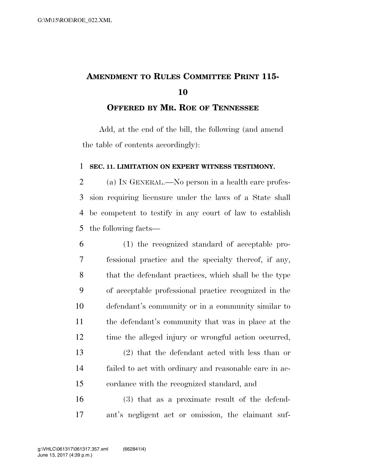## **AMENDMENT TO RULES COMMITTEE PRINT 115-**

## **OFFERED BY MR. ROE OF TENNESSEE**

Add, at the end of the bill, the following (and amend the table of contents accordingly):

## **SEC. 11. LIMITATION ON EXPERT WITNESS TESTIMONY.**

 (a) IN GENERAL.—No person in a health care profes- sion requiring licensure under the laws of a State shall be competent to testify in any court of law to establish the following facts—

 (1) the recognized standard of acceptable pro- fessional practice and the specialty thereof, if any, that the defendant practices, which shall be the type of acceptable professional practice recognized in the defendant's community or in a community similar to the defendant's community that was in place at the time the alleged injury or wrongful action occurred, (2) that the defendant acted with less than or failed to act with ordinary and reasonable care in ac-cordance with the recognized standard, and

 (3) that as a proximate result of the defend-ant's negligent act or omission, the claimant suf